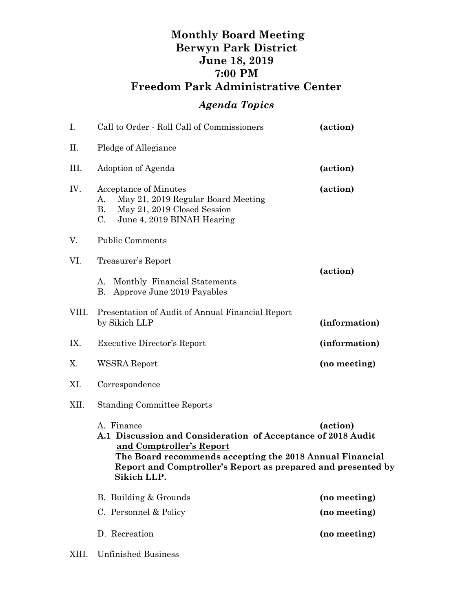## **Monthly Board Meeting Berwyn Park District June 18, 2019 7:00 PM Freedom Park Administrative Center**

## *Agenda Topics*

| I.    | Call to Order - Roll Call of Commissioners                                                                                                        | (action)                                                                                                                                                                                             |  |
|-------|---------------------------------------------------------------------------------------------------------------------------------------------------|------------------------------------------------------------------------------------------------------------------------------------------------------------------------------------------------------|--|
| Π.    | Pledge of Allegiance                                                                                                                              |                                                                                                                                                                                                      |  |
| III.  | Adoption of Agenda                                                                                                                                | (action)                                                                                                                                                                                             |  |
| IV.   | Acceptance of Minutes<br>May 21, 2019 Regular Board Meeting<br>А.<br><b>B.</b><br>May 21, 2019 Closed Session<br>C.<br>June 4, 2019 BINAH Hearing | (action)                                                                                                                                                                                             |  |
| V.    | <b>Public Comments</b>                                                                                                                            |                                                                                                                                                                                                      |  |
| VI.   | Treasurer's Report                                                                                                                                |                                                                                                                                                                                                      |  |
|       | Monthly Financial Statements<br>А.<br>Approve June 2019 Payables<br><b>B.</b>                                                                     | (action)                                                                                                                                                                                             |  |
| VIII. | Presentation of Audit of Annual Financial Report<br>by Sikich LLP                                                                                 | (information)                                                                                                                                                                                        |  |
| IX.   | <b>Executive Director's Report</b>                                                                                                                | (information)                                                                                                                                                                                        |  |
| X.    | WSSRA Report                                                                                                                                      | (no meeting)                                                                                                                                                                                         |  |
| XI.   | Correspondence                                                                                                                                    |                                                                                                                                                                                                      |  |
| XII.  | <b>Standing Committee Reports</b>                                                                                                                 |                                                                                                                                                                                                      |  |
|       | A. Finance<br>and Comptroller's Report<br>Sikich LLP.                                                                                             | (action)<br>A.1 Discussion and Consideration of Acceptance of 2018 Audit<br>The Board recommends accepting the 2018 Annual Financial<br>Report and Comptroller's Report as prepared and presented by |  |
|       | B. Building & Grounds                                                                                                                             | (no meeting)                                                                                                                                                                                         |  |
|       | C. Personnel & Policy                                                                                                                             | (no meeting)                                                                                                                                                                                         |  |
|       | D. Recreation                                                                                                                                     | (no meeting)                                                                                                                                                                                         |  |

XIII. Unfinished Business